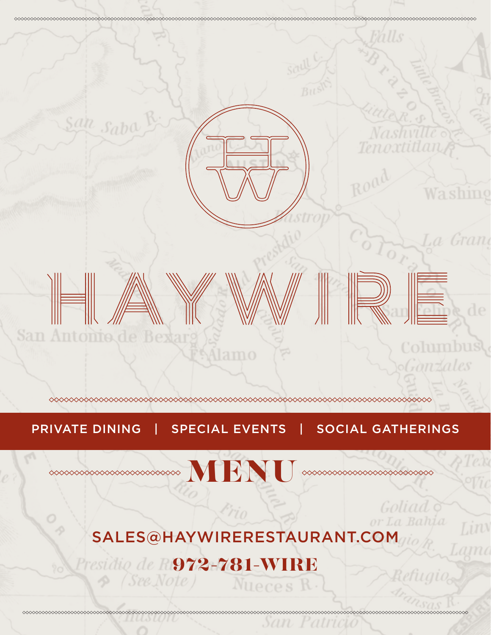

### PRIVATE DINING | SPECIAL EVENTS | SOCIAL GATHERINGS

Goliad<sub>9</sub> or La Bahia

## $\sim$

# [SALES@HAYWIRERESTAURANT.COM](mailto:SALES@HAYWIRERESTAURANT.COM)

# Presidio de 1972-781-WIRE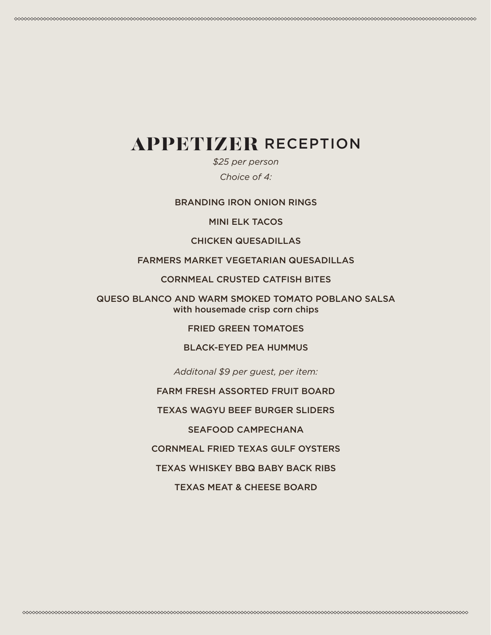### APPETIZER RECEPTION

*\$25 per person Choice of 4:* 

BRANDING IRON ONION RINGS

MINI ELK TACOS

CHICKEN QUESADILLAS

### FARMERS MARKET VEGETARIAN QUESADILLAS

CORNMEAL CRUSTED CATFISH BITES

QUESO BLANCO AND WARM SMOKED TOMATO POBLANO SALSA with housemade crisp corn chips

FRIED GREEN TOMATOES

### BLACK-EYED PEA HUMMUS

*Additonal \$9 per guest, per item:* 

FARM FRESH ASSORTED FRUIT BOARD

TEXAS WAGYU BEEF BURGER SLIDERS

SEAFOOD CAMPECHANA

CORNMEAL FRIED TEXAS GULF OYSTERS

TEXAS WHISKEY BBQ BABY BACK RIBS

TEXAS MEAT & CHEESE BOARD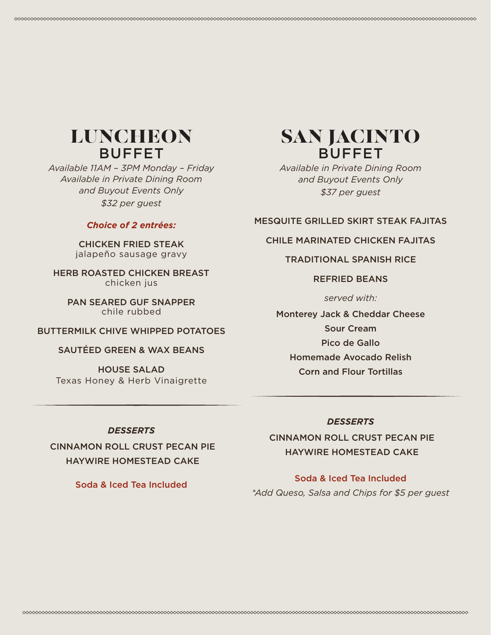### LUNCHEON BUFFET

*Available 11AM – 3PM Monday – Friday Available in Private Dining Room and Buyout Events Only \$32 per guest* 

### *Choice of 2 entrées:*

CHICKEN FRIED STEAK jalapeño sausage gravy

HERB ROASTED CHICKEN BREAST chicken jus

PAN SEARED GUF SNAPPER chile rubbed

### BUTTERMILK CHIVE WHIPPED POTATOES

### SAUTÉED GREEN & WAX BEANS

HOUSE SALAD Texas Honey & Herb Vinaigrette

### SAN JACINTO BUFFET

*Available in Private Dining Room and Buyout Events Only \$37 per guest* 

### MESQUITE GRILLED SKIRT STEAK FAJITAS

### CHILE MARINATED CHICKEN FAJITAS

### TRADITIONAL SPANISH RICE

### REFRIED BEANS

*served with:* 

Monterey Jack & Cheddar Cheese Sour Cream Pico de Gallo Homemade Avocado Relish Corn and Flour Tortillas

#### *DESSERTS*

 CINNAMON ROLL CRUST PECAN PIE HAYWIRE HOMESTEAD CAKE

Soda & Iced Tea Included

#### *DESSERTS*

 CINNAMON ROLL CRUST PECAN PIE HAYWIRE HOMESTEAD CAKE

### Soda & Iced Tea Included

*\*Add Queso, Salsa and Chips for \$5 per guest*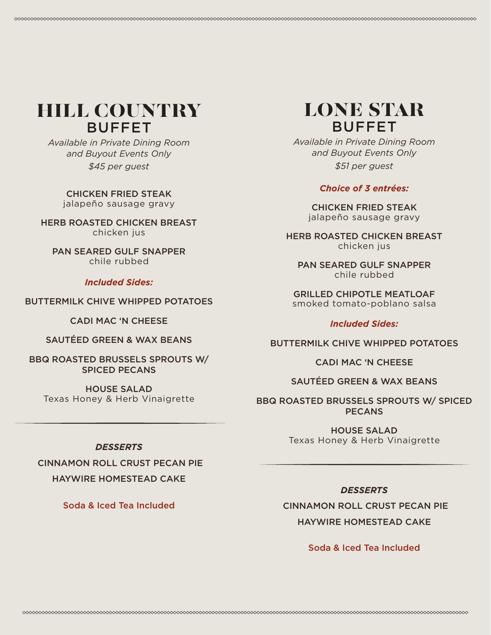### HILL COUNTRY BUFFET

*Available in Private Dining Room and Buyout Events Only \$45 per guest* 

CHICKEN FRIED STEAK jalapeño sausage gravy

HERB ROASTED CHICKEN BREAST chicken jus

PAN SEARED GULF SNAPPER chile rubbed

### *Included Sides:*

### BUTTERMILK CHIVE WHIPPED POTATOES

CADI MAC 'N CHEESE

SAUTÉED GREEN & WAX BEANS

BBQ ROASTED BRUSSELS SPROUTS W/ SPICED PECANS

HOUSE SALAD Texas Honey & Herb Vinaigrette

### *DESSERTS*

 CINNAMON ROLL CRUST PECAN PIE HAYWIRE HOMESTEAD CAKE

Soda & Iced Tea Included

### LONE STAR BUFFET

*Available in Private Dining Room and Buyout Events Only \$51 per guest* 

### *Choice of 3 entrées:*

CHICKEN FRIED STEAK jalapeño sausage gravy

HERB ROASTED CHICKEN BREAST chicken jus

PAN SEARED GULF SNAPPER chile rubbed

GRILLED CHIPOTLE MEATLOAF smoked tomato-poblano salsa

### *Included Sides:*

BUTTERMILK CHIVE WHIPPED POTATOES

CADI MAC 'N CHEESE

### SAUTÉED GREEN & WAX BEANS

BBQ ROASTED BRUSSELS SPROUTS W/ SPICED PECANS

> HOUSE SALAD Texas Honey & Herb Vinaigrette

### *DESSERTS*

 CINNAMON ROLL CRUST PECAN PIE HAYWIRE HOMESTEAD CAKE

Soda & Iced Tea Included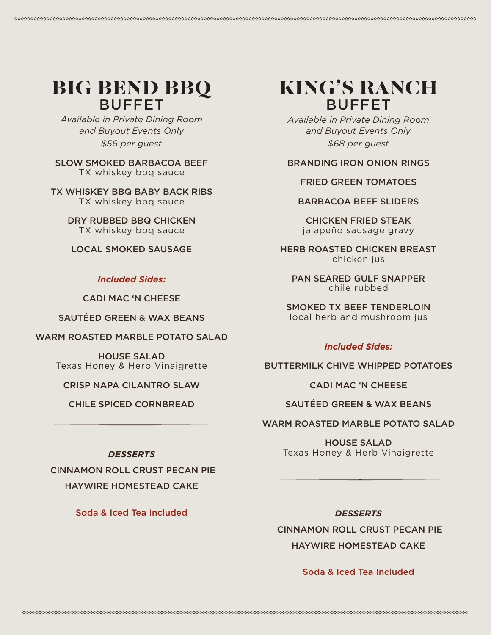### BIG BEND BBQ BUFFET

*Available in Private Dining Room and Buyout Events Only \$56 per guest* 

SLOW SMOKED BARBACOA BEEF TX whiskey bbq sauce

TX WHISKEY BBQ BABY BACK RIBS TX whiskey bbq sauce

> DRY RUBBED BBQ CHICKEN TX whiskey bbq sauce

LOCAL SMOKED SAUSAGE

### *Included Sides:*

CADI MAC 'N CHEESE

SAUTÉED GREEN & WAX BEANS

WARM ROASTED MARBLE POTATO SALAD

HOUSE SALAD Texas Honey & Herb Vinaigrette

CRISP NAPA CILANTRO SLAW

CHILE SPICED CORNBREAD

### *DESSERTS*

 CINNAMON ROLL CRUST PECAN PIE HAYWIRE HOMESTEAD CAKE

Soda & Iced Tea Included

### KING'S RANCH BUFFET

*Available in Private Dining Room and Buyout Events Only \$68 per guest* 

### BRANDING IRON ONION RINGS

### FRIED GREEN TOMATOES

BARBACOA BEEF SLIDERS

CHICKEN FRIED STEAK jalapeño sausage gravy

HERB ROASTED CHICKEN BREAST chicken jus

PAN SEARED GULF SNAPPER chile rubbed

SMOKED TX BEEF TENDERLOIN local herb and mushroom jus

### *Included Sides:*

BUTTERMILK CHIVE WHIPPED POTATOES

CADI MAC 'N CHEESE

### SAUTÉED GREEN & WAX BEANS

WARM ROASTED MARBLE POTATO SALAD

HOUSE SALAD Texas Honey & Herb Vinaigrette

*DESSERTS* CINNAMON ROLL CRUST PECAN PIE HAYWIRE HOMESTEAD CAKE

### Soda & Iced Tea Included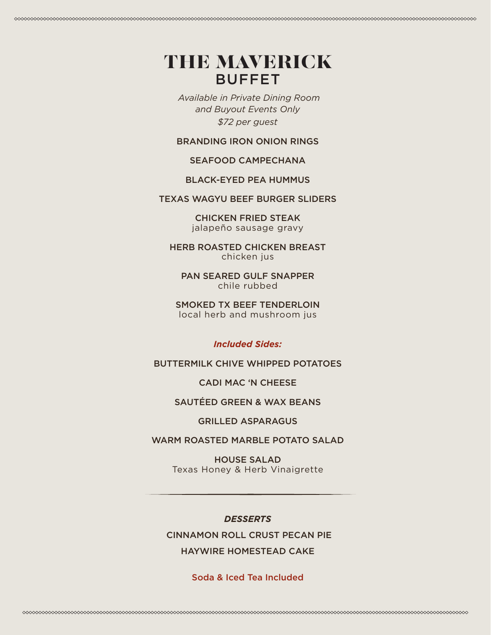### THE MAVERICK BUFFET

*Available in Private Dining Room and Buyout Events Only \$72 per guest* 

BRANDING IRON ONION RINGS

### SEAFOOD CAMPECHANA

### BLACK-EYED PEA HUMMUS

### TEXAS WAGYU BEEF BURGER SLIDERS

CHICKEN FRIED STEAK jalapeño sausage gravy

HERB ROASTED CHICKEN BREAST chicken jus

PAN SEARED GULF SNAPPER chile rubbed

SMOKED TX BEEF TENDERLOIN local herb and mushroom jus

### *Included Sides:*

BUTTERMILK CHIVE WHIPPED POTATOES

#### CADI MAC 'N CHEESE

### SAUTÉED GREEN & WAX BEANS

#### GRILLED ASPARAGUS

### WARM ROASTED MARBLE POTATO SALAD

HOUSE SALAD Texas Honey & Herb Vinaigrette

### *DESSERTS*

CINNAMON ROLL CRUST PECAN PIE

### HAYWIRE HOMESTEAD CAKE

### Soda & Iced Tea Included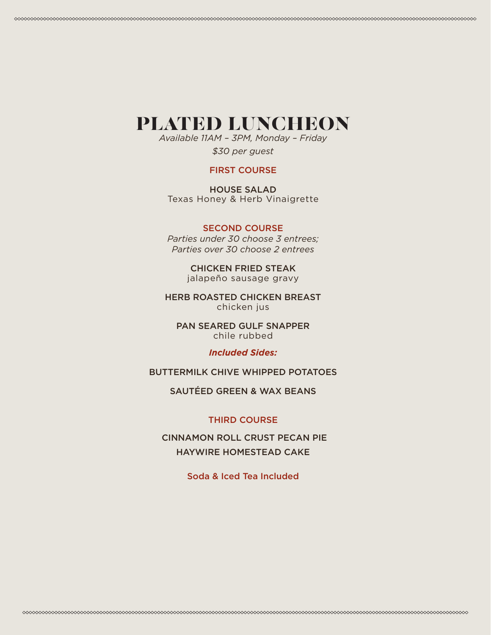### PLATED LUNCHEON

*Available 11AM – 3PM, Monday – Friday \$30 per guest* 

### FIRST COURSE

HOUSE SALAD Texas Honey & Herb Vinaigrette

### SECOND COURSE

*Parties under 30 choose 3 entrees; Parties over 30 choose 2 entrees* 

> CHICKEN FRIED STEAK jalapeño sausage gravy

HERB ROASTED CHICKEN BREAST chicken jus

PAN SEARED GULF SNAPPER chile rubbed

### *Included Sides:*

BUTTERMILK CHIVE WHIPPED POTATOES

SAUTÉED GREEN & WAX BEANS

### THIRD COURSE

 CINNAMON ROLL CRUST PECAN PIE HAYWIRE HOMESTEAD CAKE

Soda & Iced Tea Included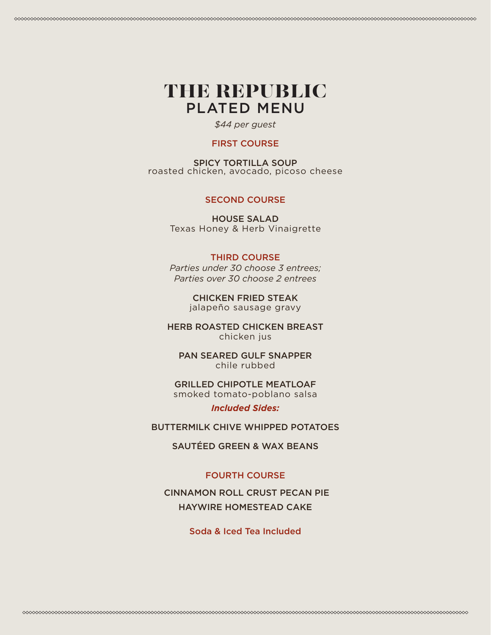### THE REPUBLIC PLATED MENU

*\$44 per guest* 

#### FIRST COURSE

SPICY TORTILLA SOUP roasted chicken, avocado, picoso cheese

### SECOND COURSE

HOUSE SALAD Texas Honey & Herb Vinaigrette

### THIRD COURSE

*Parties under 30 choose 3 entrees; Parties over 30 choose 2 entrees* 

> CHICKEN FRIED STEAK jalapeño sausage gravy

HERB ROASTED CHICKEN BREAST chicken jus

PAN SEARED GULF SNAPPER chile rubbed

GRILLED CHIPOTLE MEATLOAF smoked tomato-poblano salsa

*Included Sides:* 

BUTTERMILK CHIVE WHIPPED POTATOES

SAUTÉED GREEN & WAX BEANS

### FOURTH COURSE

 CINNAMON ROLL CRUST PECAN PIE HAYWIRE HOMESTEAD CAKE

Soda & Iced Tea Included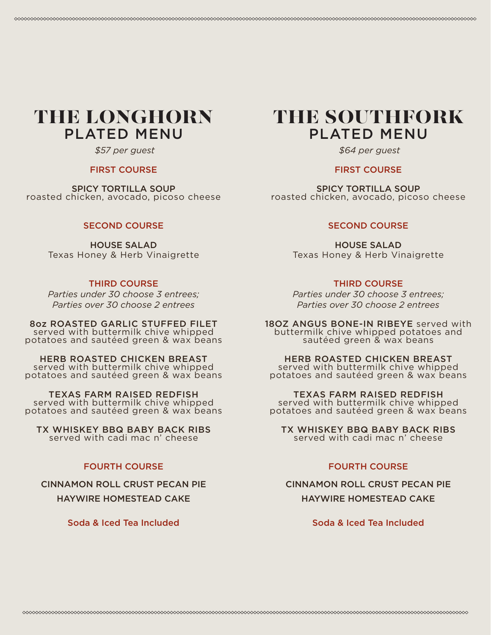### THE LONGHORN PLATED MENU

 *\$57 per guest* 

#### FIRST COURSE

SPICY TORTILLA SOUP roasted chicken, avocado, picoso cheese

#### SECOND COURSE

HOUSE SALAD Texas Honey & Herb Vinaigrette

### THIRD COURSE

*Parties under 30 choose 3 entrees; Parties over 30 choose 2 entrees* 

8oz ROASTED GARLIC STUFFED FILET served with buttermilk chive whipped potatoes and sautéed green & wax beans

HERB ROASTED CHICKEN BREAST served with buttermilk chive whipped potatoes and sautéed green & wax beans

TEXAS FARM RAISED REDFISH served with buttermilk chive whipped potatoes and sautéed green & wax beans

TX WHISKEY BBQ BABY BACK RIBS served with cadi mac n' cheese

#### FOURTH COURSE

CINNAMON ROLL CRUST PECAN PIE HAYWIRE HOMESTEAD CAKE

Soda & Iced Tea Included

### THE SOUTHFORK PLATED MENU

 *\$64 per guest* 

### FIRST COURSE

SPICY TORTILLA SOUP roasted chicken, avocado, picoso cheese

#### SECOND COURSE

HOUSE SALAD Texas Honey & Herb Vinaigrette

### THIRD COURSE

*Parties under 30 choose 3 entrees; Parties over 30 choose 2 entrees* 

18OZ ANGUS BONE-IN RIBEYE served with buttermilk chive whipped potatoes and sautéed green & wax beans

HERB ROASTED CHICKEN BREAST served with buttermilk chive whipped potatoes and sautéed green & wax beans

TEXAS FARM RAISED REDFISH served with buttermilk chive whipped potatoes and sautéed green & wax beans

TX WHISKEY BBQ BABY BACK RIBS served with cadi mac n' cheese

#### FOURTH COURSE

CINNAMON ROLL CRUST PECAN PIE HAYWIRE HOMESTEAD CAKE

Soda & Iced Tea Included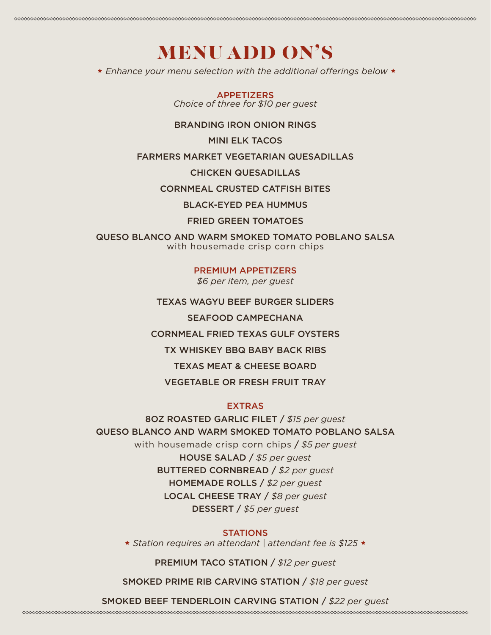### MENU ADD ON'S

 *Enhance your menu selection with the additional offerings below* 

APPETIZERS *Choice of three for \$10 per guest* 

#### BRANDING IRON ONION RINGS

MINI ELK TACOS

### FARMERS MARKET VEGETARIAN QUESADILLAS

CHICKEN QUESADILLAS

CORNMEAL CRUSTED CATFISH BITES

BLACK-EYED PEA HUMMUS

### FRIED GREEN TOMATOES

QUESO BLANCO AND WARM SMOKED TOMATO POBLANO SALSA with housemade crisp corn chips

#### PREMIUM APPETIZERS

*\$6 per item, per guest* 

TEXAS WAGYU BEEF BURGER SLIDERS

SEAFOOD CAMPECHANA

CORNMEAL FRIED TEXAS GULF OYSTERS

TX WHISKEY BBQ BABY BACK RIBS

TEXAS MEAT & CHEESE BOARD

VEGETABLE OR FRESH FRUIT TRAY

### EXTRAS

### 8OZ ROASTED GARLIC FILET / *\$15 per guest*  QUESO BLANCO AND WARM SMOKED TOMATO POBLANO SALSA

with housemade crisp corn chips / *\$5 per guest*  HOUSE SALAD / *\$5 per guest*  BUTTERED CORNBREAD / *\$2 per guest*  HOMEMADE ROLLS / *\$2 per guest*  LOCAL CHEESE TRAY / *\$8 per guest*  DESSERT / *\$5 per guest* 

### **STATIONS**

 *Station requires an attendant | attendant fee is \$125* 

PREMIUM TACO STATION / *\$12 per guest* 

SMOKED PRIME RIB CARVING STATION / *\$18 per guest* 

SMOKED BEEF TENDERLOIN CARVING STATION / *\$22 per guest*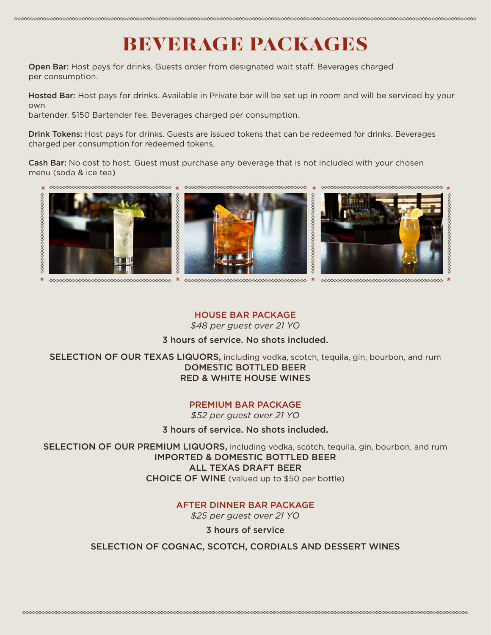### BEVERAGE PACKAGES

Open Bar: Host pays for drinks. Guests order from designated wait staff. Beverages charged per consumption.

Hosted Bar: Host pays for drinks. Available in Private bar will be set up in room and will be serviced by your own

bartender. \$150 Bartender fee. Beverages charged per consumption.

Drink Tokens: Host pays for drinks. Guests are issued tokens that can be redeemed for drinks. Beverages charged per consumption for redeemed tokens.

Cash Bar: No cost to host. Guest must purchase any beverage that is not included with your chosen menu (soda & ice tea)



 $\sim$ 

### HOUSE BAR PACKAGE

*\$48 per guest over 21 YO* 

### 3 hours of service. No shots included.

SELECTION OF OUR TEXAS LIQUORS, including vodka, scotch, tequila, gin, bourbon, and rum DOMESTIC BOTTLED BEER RED & WHITE HOUSE WINES

### PREMIUM BAR PACKAGE

*\$52 per guest over 21 YO* 

3 hours of service. No shots included.

SELECTION OF OUR PREMIUM LIQUORS, including vodka, scotch, tequila, gin, bourbon, and rum IMPORTED & DOMESTIC BOTTLED BEER ALL TEXAS DRAFT BEER CHOICE OF WINE (valued up to \$50 per bottle)

### AFTER DINNER BAR PACKAGE

*\$25 per guest over 21 YO* 

3 hours of service

### SELECTION OF COGNAC, SCOTCH, CORDIALS AND DESSERT WINES